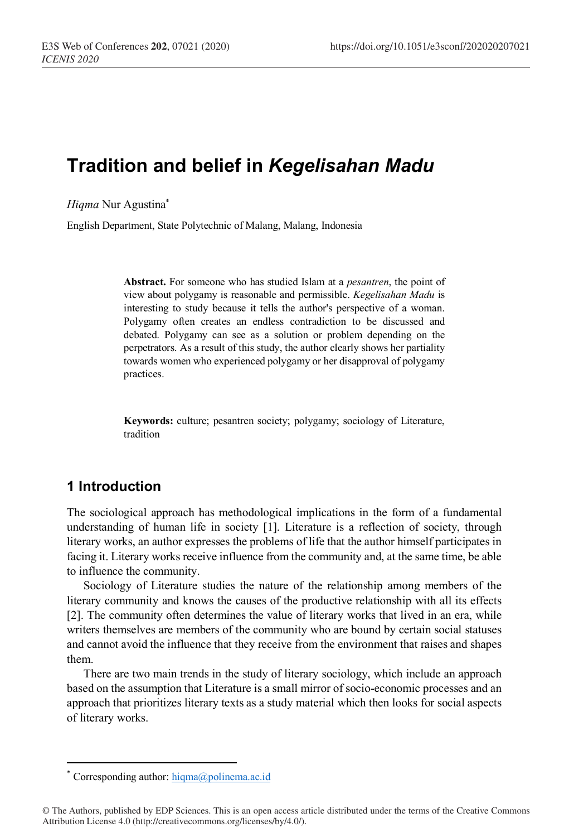# **Tradition and belief in** *Kegelisahan Madu*

*Hiqma* Nur Agustina\*

English Department, State Polytechnic of Malang, Malang, Indonesia

**Abstract.** For someone who has studied Islam at a *pesantren*, the point of view about polygamy is reasonable and permissible. *Kegelisahan Madu* is interesting to study because it tells the author's perspective of a woman. Polygamy often creates an endless contradiction to be discussed and debated. Polygamy can see as a solution or problem depending on the perpetrators. As a result of this study, the author clearly shows her partiality towards women who experienced polygamy or her disapproval of polygamy practices.

**Keywords:** culture; pesantren society; polygamy; sociology of Literature, tradition

#### **1 Introduction**

The sociological approach has methodological implications in the form of a fundamental understanding of human life in society [1]. Literature is a reflection of society, through literary works, an author expresses the problems of life that the author himself participates in facing it. Literary works receive influence from the community and, at the same time, be able to influence the community.

Sociology of Literature studies the nature of the relationship among members of the literary community and knows the causes of the productive relationship with all its effects [2]. The community often determines the value of literary works that lived in an era, while writers themselves are members of the community who are bound by certain social statuses and cannot avoid the influence that they receive from the environment that raises and shapes them.

There are two main trends in the study of literary sociology, which include an approach based on the assumption that Literature is a small mirror of socio-economic processes and an approach that prioritizes literary texts as a study material which then looks for social aspects of literary works.

 <sup>\*</sup> Corresponding author: hiqma@polinema.ac.id

<sup>©</sup> The Authors, published by EDP Sciences. This is an open access article distributed under the terms of the Creative Commons Attribution License 4.0 (http://creativecommons.org/licenses/by/4.0/).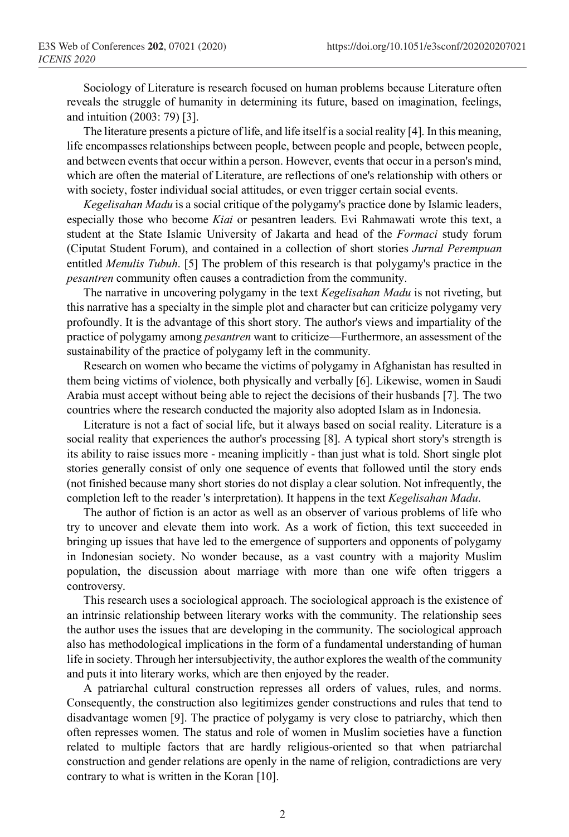Sociology of Literature is research focused on human problems because Literature often reveals the struggle of humanity in determining its future, based on imagination, feelings, and intuition (2003: 79) [3].

The literature presents a picture of life, and life itself is a social reality [4]. In this meaning, life encompasses relationships between people, between people and people, between people, and between events that occur within a person. However, events that occur in a person's mind, which are often the material of Literature, are reflections of one's relationship with others or with society, foster individual social attitudes, or even trigger certain social events.

*Kegelisahan Madu* is a social critique of the polygamy's practice done by Islamic leaders, especially those who become *Kiai* or pesantren leaders. Evi Rahmawati wrote this text, a student at the State Islamic University of Jakarta and head of the *Formaci* study forum (Ciputat Student Forum), and contained in a collection of short stories *Jurnal Perempuan* entitled *Menulis Tubuh*. [5] The problem of this research is that polygamy's practice in the *pesantren* community often causes a contradiction from the community.

The narrative in uncovering polygamy in the text *Kegelisahan Madu* is not riveting, but this narrative has a specialty in the simple plot and character but can criticize polygamy very profoundly. It is the advantage of this short story. The author's views and impartiality of the practice of polygamy among *pesantren* want to criticize—Furthermore, an assessment of the sustainability of the practice of polygamy left in the community.

Research on women who became the victims of polygamy in Afghanistan has resulted in them being victims of violence, both physically and verbally [6]. Likewise, women in Saudi Arabia must accept without being able to reject the decisions of their husbands [7]. The two countries where the research conducted the majority also adopted Islam as in Indonesia.

Literature is not a fact of social life, but it always based on social reality. Literature is a social reality that experiences the author's processing [8]. A typical short story's strength is its ability to raise issues more - meaning implicitly - than just what is told. Short single plot stories generally consist of only one sequence of events that followed until the story ends (not finished because many short stories do not display a clear solution. Not infrequently, the completion left to the reader 's interpretation). It happens in the text *Kegelisahan Madu*.

The author of fiction is an actor as well as an observer of various problems of life who try to uncover and elevate them into work. As a work of fiction, this text succeeded in bringing up issues that have led to the emergence of supporters and opponents of polygamy in Indonesian society. No wonder because, as a vast country with a majority Muslim population, the discussion about marriage with more than one wife often triggers a controversy.

This research uses a sociological approach. The sociological approach is the existence of an intrinsic relationship between literary works with the community. The relationship sees the author uses the issues that are developing in the community. The sociological approach also has methodological implications in the form of a fundamental understanding of human life in society. Through her intersubjectivity, the author explores the wealth of the community and puts it into literary works, which are then enjoyed by the reader.

A patriarchal cultural construction represses all orders of values, rules, and norms. Consequently, the construction also legitimizes gender constructions and rules that tend to disadvantage women [9]. The practice of polygamy is very close to patriarchy, which then often represses women. The status and role of women in Muslim societies have a function related to multiple factors that are hardly religious-oriented so that when patriarchal construction and gender relations are openly in the name of religion, contradictions are very contrary to what is written in the Koran [10].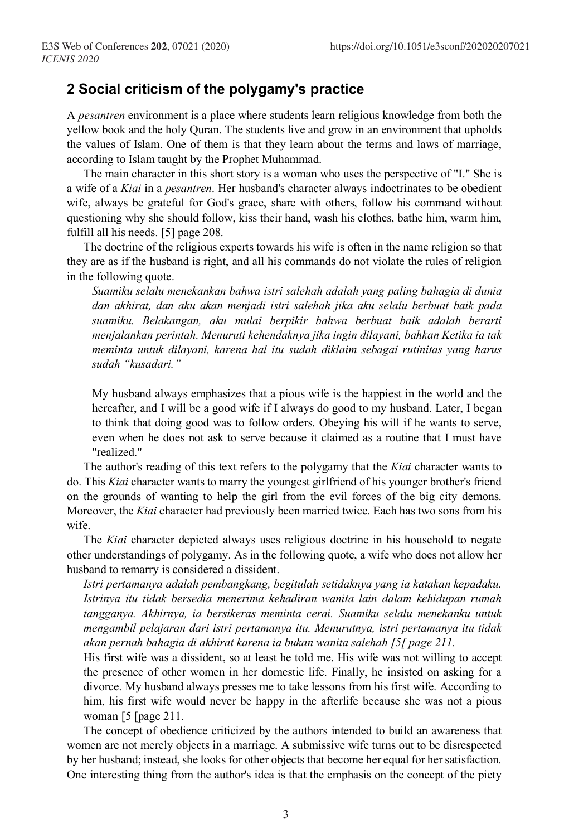#### **2 Social criticism of the polygamy's practice**

A *pesantren* environment is a place where students learn religious knowledge from both the yellow book and the holy Quran. The students live and grow in an environment that upholds the values of Islam. One of them is that they learn about the terms and laws of marriage, according to Islam taught by the Prophet Muhammad.

The main character in this short story is a woman who uses the perspective of "I." She is a wife of a *Kiai* in a *pesantren*. Her husband's character always indoctrinates to be obedient wife, always be grateful for God's grace, share with others, follow his command without questioning why she should follow, kiss their hand, wash his clothes, bathe him, warm him, fulfill all his needs. [5] page 208.

The doctrine of the religious experts towards his wife is often in the name religion so that they are as if the husband is right, and all his commands do not violate the rules of religion in the following quote.

*Suamiku selalu menekankan bahwa istri salehah adalah yang paling bahagia di dunia dan akhirat, dan aku akan menjadi istri salehah jika aku selalu berbuat baik pada suamiku. Belakangan, aku mulai berpikir bahwa berbuat baik adalah berarti menjalankan perintah. Menuruti kehendaknya jika ingin dilayani, bahkan Ketika ia tak meminta untuk dilayani, karena hal itu sudah diklaim sebagai rutinitas yang harus sudah "kusadari."*

My husband always emphasizes that a pious wife is the happiest in the world and the hereafter, and I will be a good wife if I always do good to my husband. Later, I began to think that doing good was to follow orders. Obeying his will if he wants to serve, even when he does not ask to serve because it claimed as a routine that I must have "realized."

The author's reading of this text refers to the polygamy that the *Kiai* character wants to do. This *Kiai* character wants to marry the youngest girlfriend of his younger brother's friend on the grounds of wanting to help the girl from the evil forces of the big city demons. Moreover, the *Kiai* character had previously been married twice. Each has two sons from his wife.

The *Kiai* character depicted always uses religious doctrine in his household to negate other understandings of polygamy. As in the following quote, a wife who does not allow her husband to remarry is considered a dissident.

*Istri pertamanya adalah pembangkang, begitulah setidaknya yang ia katakan kepadaku. Istrinya itu tidak bersedia menerima kehadiran wanita lain dalam kehidupan rumah tangganya. Akhirnya, ia bersikeras meminta cerai. Suamiku selalu menekanku untuk mengambil pelajaran dari istri pertamanya itu. Menurutnya, istri pertamanya itu tidak akan pernah bahagia di akhirat karena ia bukan wanita salehah [5[ page 211.*

His first wife was a dissident, so at least he told me. His wife was not willing to accept the presence of other women in her domestic life. Finally, he insisted on asking for a divorce. My husband always presses me to take lessons from his first wife. According to him, his first wife would never be happy in the afterlife because she was not a pious woman [5 [page 211.

The concept of obedience criticized by the authors intended to build an awareness that women are not merely objects in a marriage. A submissive wife turns out to be disrespected by her husband; instead, she looks for other objects that become her equal for her satisfaction. One interesting thing from the author's idea is that the emphasis on the concept of the piety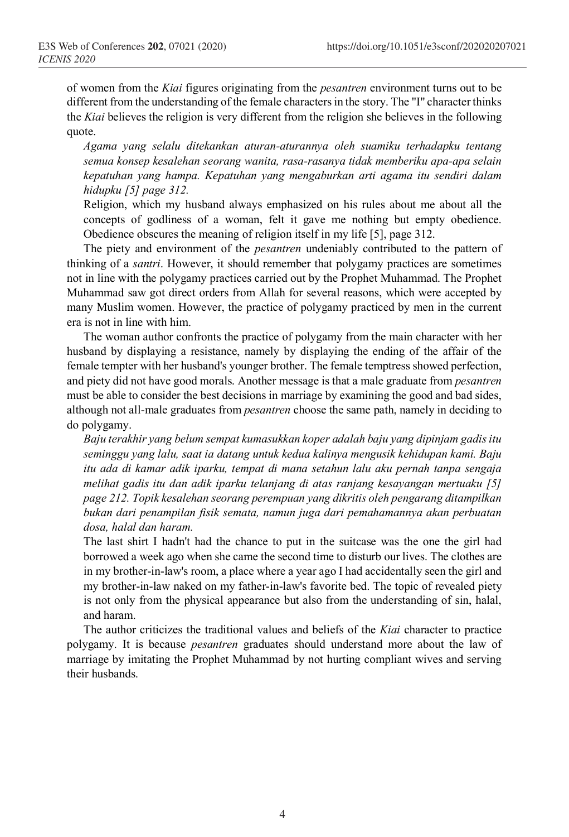of women from the *Kiai* figures originating from the *pesantren* environment turns out to be different from the understanding of the female characters in the story. The "I" character thinks the *Kiai* believes the religion is very different from the religion she believes in the following quote.

*Agama yang selalu ditekankan aturan-aturannya oleh suamiku terhadapku tentang semua konsep kesalehan seorang wanita, rasa-rasanya tidak memberiku apa-apa selain kepatuhan yang hampa. Kepatuhan yang mengaburkan arti agama itu sendiri dalam hidupku [5] page 312.*

Religion, which my husband always emphasized on his rules about me about all the concepts of godliness of a woman, felt it gave me nothing but empty obedience. Obedience obscures the meaning of religion itself in my life [5], page 312.

The piety and environment of the *pesantren* undeniably contributed to the pattern of thinking of a *santri*. However, it should remember that polygamy practices are sometimes not in line with the polygamy practices carried out by the Prophet Muhammad. The Prophet Muhammad saw got direct orders from Allah for several reasons, which were accepted by many Muslim women. However, the practice of polygamy practiced by men in the current era is not in line with him.

The woman author confronts the practice of polygamy from the main character with her husband by displaying a resistance, namely by displaying the ending of the affair of the female tempter with her husband's younger brother. The female temptress showed perfection, and piety did not have good morals. Another message is that a male graduate from *pesantren* must be able to consider the best decisions in marriage by examining the good and bad sides, although not all-male graduates from *pesantren* choose the same path, namely in deciding to do polygamy.

*Baju terakhir yang belum sempat kumasukkan koper adalah baju yang dipinjam gadis itu seminggu yang lalu, saat ia datang untuk kedua kalinya mengusik kehidupan kami. Baju itu ada di kamar adik iparku, tempat di mana setahun lalu aku pernah tanpa sengaja melihat gadis itu dan adik iparku telanjang di atas ranjang kesayangan mertuaku [5] page 212. Topik kesalehan seorang perempuan yang dikritis oleh pengarang ditampilkan bukan dari penampilan fisik semata, namun juga dari pemahamannya akan perbuatan dosa, halal dan haram.*

The last shirt I hadn't had the chance to put in the suitcase was the one the girl had borrowed a week ago when she came the second time to disturb our lives. The clothes are in my brother-in-law's room, a place where a year ago I had accidentally seen the girl and my brother-in-law naked on my father-in-law's favorite bed. The topic of revealed piety is not only from the physical appearance but also from the understanding of sin, halal, and haram.

The author criticizes the traditional values and beliefs of the *Kiai* character to practice polygamy. It is because *pesantren* graduates should understand more about the law of marriage by imitating the Prophet Muhammad by not hurting compliant wives and serving their husbands.